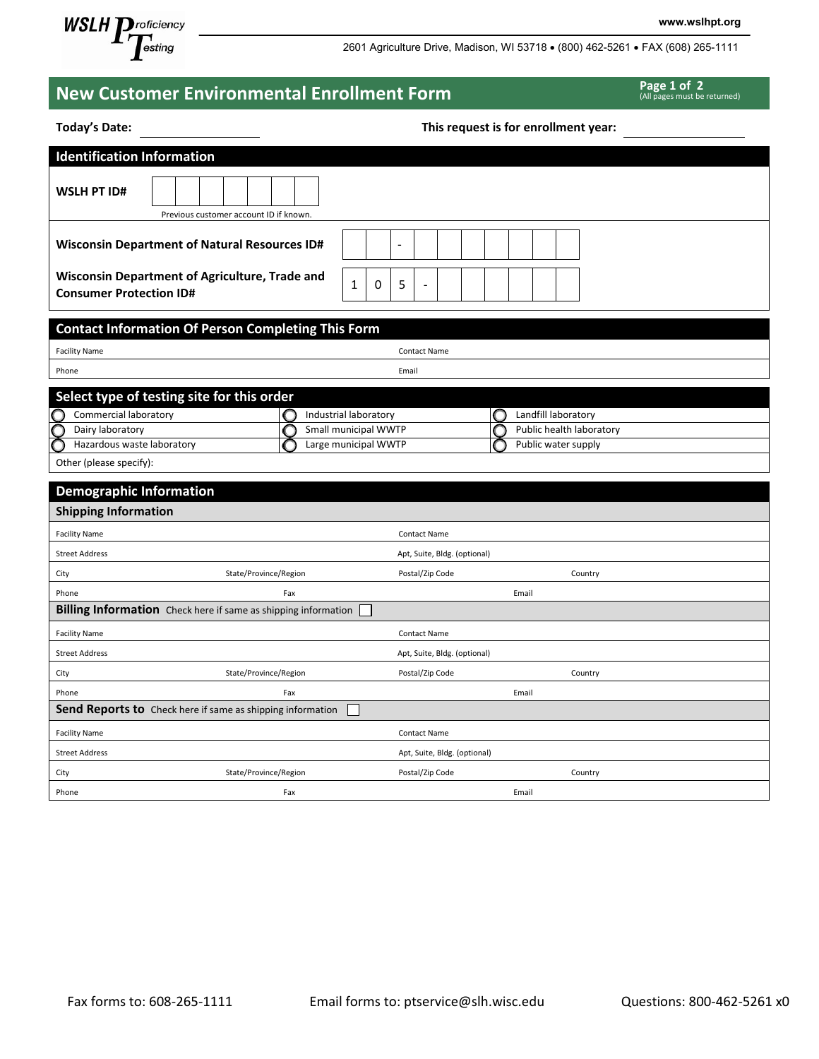

2601 Agriculture Drive, Madison, WI 53718 • (800) 462-5261 • FAX (608) 265-1111

**www.wslhpt.org**

| <b>New Customer Environmental Enrollment Form</b>                                | Page 1 of 2<br>(All pages must be returned)               |                                      |  |
|----------------------------------------------------------------------------------|-----------------------------------------------------------|--------------------------------------|--|
| <b>Today's Date:</b>                                                             |                                                           | This request is for enrollment year: |  |
| <b>Identification Information</b>                                                |                                                           |                                      |  |
| <b>WSLH PT ID#</b>                                                               | Previous customer account ID if known.                    |                                      |  |
| <b>Wisconsin Department of Natural Resources ID#</b>                             |                                                           | $\overline{\phantom{a}}$             |  |
| Wisconsin Department of Agriculture, Trade and<br><b>Consumer Protection ID#</b> | 0<br>1                                                    | 5                                    |  |
|                                                                                  | <b>Contact Information Of Person Completing This Form</b> |                                      |  |
| <b>Facility Name</b>                                                             |                                                           | <b>Contact Name</b>                  |  |
| Phone                                                                            |                                                           | Email                                |  |
| Select type of testing site for this order                                       |                                                           |                                      |  |
| Commercial laboratory                                                            | Industrial laboratory                                     | Landfill laboratory<br>C             |  |
| Dairy laboratory                                                                 | Small municipal WWTP                                      | Public health laboratory<br>C        |  |
| C<br>Hazardous waste laboratory                                                  | Large municipal WWTP                                      | Public water supply                  |  |
| Other (please specify):                                                          |                                                           |                                      |  |
| <b>Demographic Information</b>                                                   |                                                           |                                      |  |
| <b>Shipping Information</b>                                                      |                                                           |                                      |  |
| <b>Facility Name</b>                                                             |                                                           | <b>Contact Name</b>                  |  |
| <b>Street Address</b>                                                            |                                                           | Apt, Suite, Bldg. (optional)         |  |
| City                                                                             | State/Province/Region                                     | Postal/Zip Code<br>Country           |  |
| Phone                                                                            | Fax                                                       | Email                                |  |
| <b>Billing Information</b> Check here if same as shipping information            |                                                           |                                      |  |
| <b>Facility Name</b>                                                             |                                                           | <b>Contact Name</b>                  |  |
| <b>Street Address</b>                                                            |                                                           | Apt, Suite, Bldg. (optional)         |  |
| City                                                                             | State/Province/Region                                     | Postal/Zip Code<br>Country           |  |
| Phone                                                                            | Fax                                                       | Email                                |  |
| Send Reports to Check here if same as shipping information                       |                                                           |                                      |  |
| <b>Facility Name</b>                                                             |                                                           | <b>Contact Name</b>                  |  |
| <b>Street Address</b>                                                            |                                                           | Apt, Suite, Bldg. (optional)         |  |
| City                                                                             | State/Province/Region                                     | Postal/Zip Code<br>Country           |  |

Phone **Fax Email and Text** Email extends the Email of the Email extends of the Email extends of the Email extends of the Email extends of the Email extends of the Email extends of the Email extends of the Email extends of